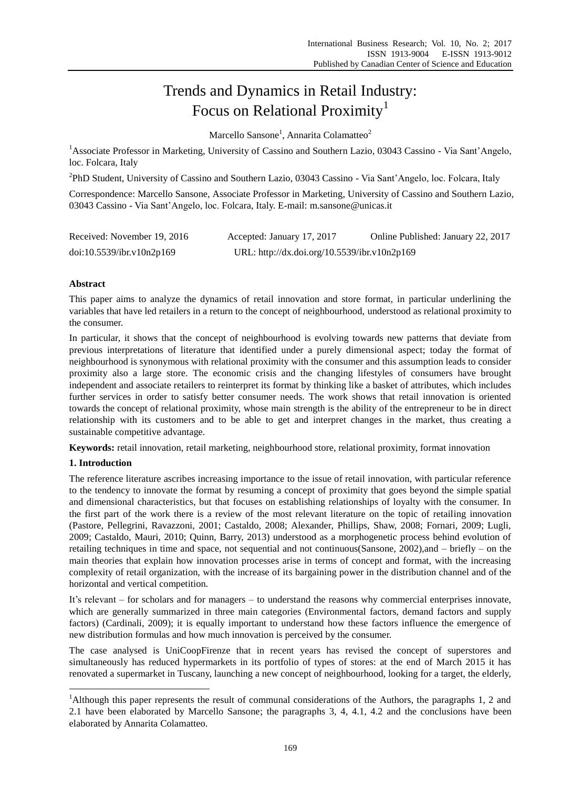# Trends and Dynamics in Retail Industry: Focus on Relational Proximity<sup>1</sup>

Marcello Sansone<sup>1</sup>, Annarita Colamatteo<sup>2</sup>

<sup>1</sup>Associate Professor in Marketing, University of Cassino and Southern Lazio, 03043 Cassino - Via Sant'Angelo, loc. Folcara, Italy

<sup>2</sup>PhD Student, University of Cassino and Southern Lazio, 03043 Cassino - Via Sant'Angelo, loc. Folcara, Italy

Correspondence: Marcello Sansone, Associate Professor in Marketing, University of Cassino and Southern Lazio, 03043 Cassino - Via Sant'Angelo, loc. Folcara, Italy. E-mail: m.sansone@unicas.it

| Received: November 19, 2016 | Accepted: January 17, 2017                   | Online Published: January 22, 2017 |
|-----------------------------|----------------------------------------------|------------------------------------|
| doi:10.5539/ibr.v10n2p169   | URL: http://dx.doi.org/10.5539/ibr.v10n2p169 |                                    |

## **Abstract**

This paper aims to analyze the dynamics of retail innovation and store format, in particular underlining the variables that have led retailers in a return to the concept of neighbourhood, understood as relational proximity to the consumer.

In particular, it shows that the concept of neighbourhood is evolving towards new patterns that deviate from previous interpretations of literature that identified under a purely dimensional aspect; today the format of neighbourhood is synonymous with relational proximity with the consumer and this assumption leads to consider proximity also a large store. The economic crisis and the changing lifestyles of consumers have brought independent and associate retailers to reinterpret its format by thinking like a basket of attributes, which includes further services in order to satisfy better consumer needs. The work shows that retail innovation is oriented towards the concept of relational proximity, whose main strength is the ability of the entrepreneur to be in direct relationship with its customers and to be able to get and interpret changes in the market, thus creating a sustainable competitive advantage.

**Keywords:** retail innovation, retail marketing, neighbourhood store, relational proximity, format innovation

# **1. Introduction**

l

The reference literature ascribes increasing importance to the issue of retail innovation, with particular reference to the tendency to innovate the format by resuming a concept of proximity that goes beyond the simple spatial and dimensional characteristics, but that focuses on establishing relationships of loyalty with the consumer. In the first part of the work there is a review of the most relevant literature on the topic of retailing innovation (Pastore, Pellegrini, Ravazzoni, 2001; Castaldo, 2008; Alexander, Phillips, Shaw, 2008; Fornari, 2009; Lugli, 2009; Castaldo, Mauri, 2010; Quinn, Barry, 2013) understood as a morphogenetic process behind evolution of retailing techniques in time and space, not sequential and not continuous(Sansone, 2002),and – briefly – on the main theories that explain how innovation processes arise in terms of concept and format, with the increasing complexity of retail organization, with the increase of its bargaining power in the distribution channel and of the horizontal and vertical competition.

It's relevant – for scholars and for managers – to understand the reasons why commercial enterprises innovate, which are generally summarized in three main categories (Environmental factors, demand factors and supply factors) (Cardinali, 2009); it is equally important to understand how these factors influence the emergence of new distribution formulas and how much innovation is perceived by the consumer.

The case analysed is UniCoopFirenze that in recent years has revised the concept of superstores and simultaneously has reduced hypermarkets in its portfolio of types of stores: at the end of March 2015 it has renovated a supermarket in Tuscany, launching a new concept of neighbourhood, looking for a target, the elderly,

<sup>&</sup>lt;sup>1</sup>Although this paper represents the result of communal considerations of the Authors, the paragraphs 1, 2 and 2.1 have been elaborated by Marcello Sansone; the paragraphs 3, 4, 4.1, 4.2 and the conclusions have been elaborated by Annarita Colamatteo.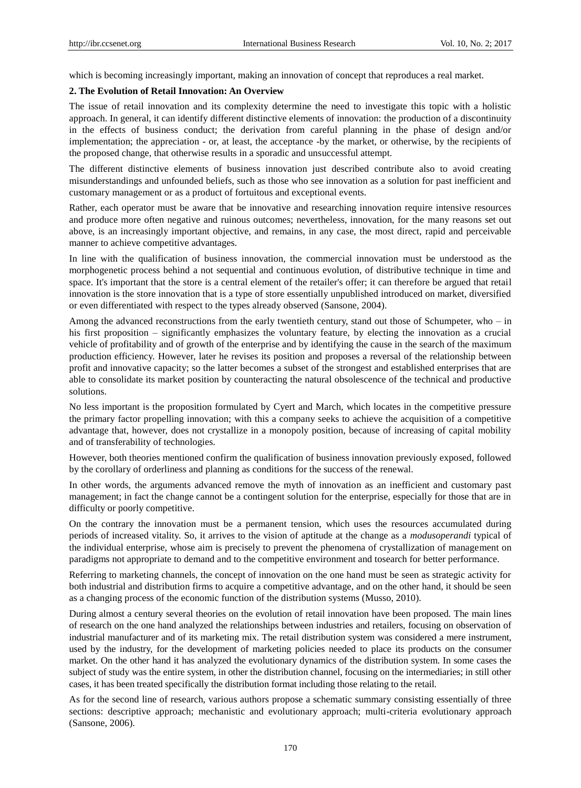which is becoming increasingly important, making an innovation of concept that reproduces a real market.

## **2. The Evolution of Retail Innovation: An Overview**

The issue of retail innovation and its complexity determine the need to investigate this topic with a holistic approach. In general, it can identify different distinctive elements of innovation: the production of a discontinuity in the effects of business conduct; the derivation from careful planning in the phase of design and/or implementation; the appreciation - or, at least, the acceptance -by the market, or otherwise, by the recipients of the proposed change, that otherwise results in a sporadic and unsuccessful attempt.

The different distinctive elements of business innovation just described contribute also to avoid creating misunderstandings and unfounded beliefs, such as those who see innovation as a solution for past inefficient and customary management or as a product of fortuitous and exceptional events.

Rather, each operator must be aware that be innovative and researching innovation require intensive resources and produce more often negative and ruinous outcomes; nevertheless, innovation, for the many reasons set out above, is an increasingly important objective, and remains, in any case, the most direct, rapid and perceivable manner to achieve competitive advantages.

In line with the qualification of business innovation, the commercial innovation must be understood as the morphogenetic process behind a not sequential and continuous evolution, of distributive technique in time and space. It's important that the store is a central element of the retailer's offer; it can therefore be argued that retail innovation is the store innovation that is a type of store essentially unpublished introduced on market, diversified or even differentiated with respect to the types already observed (Sansone, 2004).

Among the advanced reconstructions from the early twentieth century, stand out those of Schumpeter, who – in his first proposition – significantly emphasizes the voluntary feature, by electing the innovation as a crucial vehicle of profitability and of growth of the enterprise and by identifying the cause in the search of the maximum production efficiency. However, later he revises its position and proposes a reversal of the relationship between profit and innovative capacity; so the latter becomes a subset of the strongest and established enterprises that are able to consolidate its market position by counteracting the natural obsolescence of the technical and productive solutions.

No less important is the proposition formulated by Cyert and March, which locates in the competitive pressure the primary factor propelling innovation; with this a company seeks to achieve the acquisition of a competitive advantage that, however, does not crystallize in a monopoly position, because of increasing of capital mobility and of transferability of technologies.

However, both theories mentioned confirm the qualification of business innovation previously exposed, followed by the corollary of orderliness and planning as conditions for the success of the renewal.

In other words, the arguments advanced remove the myth of innovation as an inefficient and customary past management; in fact the change cannot be a contingent solution for the enterprise, especially for those that are in difficulty or poorly competitive.

On the contrary the innovation must be a permanent tension, which uses the resources accumulated during periods of increased vitality. So, it arrives to the vision of aptitude at the change as a *modusoperandi* typical of the individual enterprise, whose aim is precisely to prevent the phenomena of crystallization of management on paradigms not appropriate to demand and to the competitive environment and tosearch for better performance.

Referring to marketing channels, the concept of innovation on the one hand must be seen as strategic activity for both industrial and distribution firms to acquire a competitive advantage, and on the other hand, it should be seen as a changing process of the economic function of the distribution systems (Musso, 2010).

During almost a century several theories on the evolution of retail innovation have been proposed. The main lines of research on the one hand analyzed the relationships between industries and retailers, focusing on observation of industrial manufacturer and of its marketing mix. The retail distribution system was considered a mere instrument, used by the industry, for the development of marketing policies needed to place its products on the consumer market. On the other hand it has analyzed the evolutionary dynamics of the distribution system. In some cases the subject of study was the entire system, in other the distribution channel, focusing on the intermediaries; in still other cases, it has been treated specifically the distribution format including those relating to the retail.

As for the second line of research, various authors propose a schematic summary consisting essentially of three sections: descriptive approach; mechanistic and evolutionary approach; multi-criteria evolutionary approach (Sansone, 2006).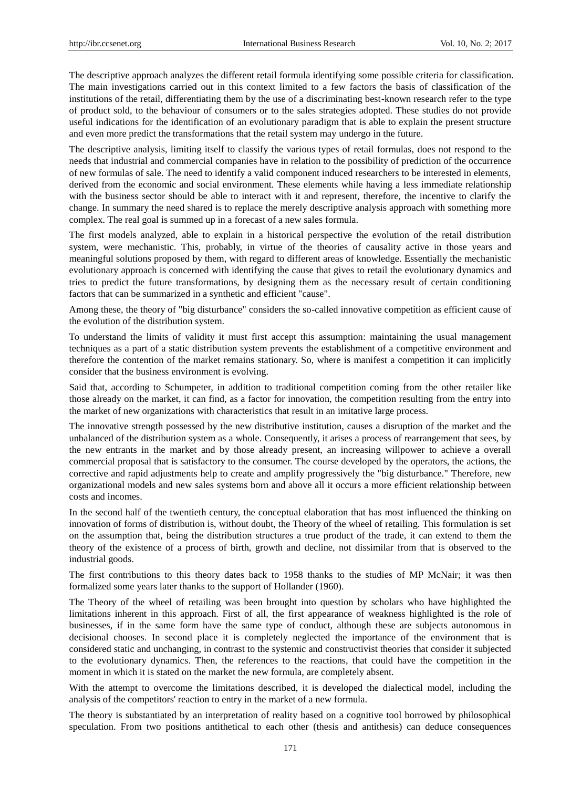The descriptive approach analyzes the different retail formula identifying some possible criteria for classification. The main investigations carried out in this context limited to a few factors the basis of classification of the institutions of the retail, differentiating them by the use of a discriminating best-known research refer to the type of product sold, to the behaviour of consumers or to the sales strategies adopted. These studies do not provide useful indications for the identification of an evolutionary paradigm that is able to explain the present structure and even more predict the transformations that the retail system may undergo in the future.

The descriptive analysis, limiting itself to classify the various types of retail formulas, does not respond to the needs that industrial and commercial companies have in relation to the possibility of prediction of the occurrence of new formulas of sale. The need to identify a valid component induced researchers to be interested in elements, derived from the economic and social environment. These elements while having a less immediate relationship with the business sector should be able to interact with it and represent, therefore, the incentive to clarify the change. In summary the need shared is to replace the merely descriptive analysis approach with something more complex. The real goal is summed up in a forecast of a new sales formula.

The first models analyzed, able to explain in a historical perspective the evolution of the retail distribution system, were mechanistic. This, probably, in virtue of the theories of causality active in those years and meaningful solutions proposed by them, with regard to different areas of knowledge. Essentially the mechanistic evolutionary approach is concerned with identifying the cause that gives to retail the evolutionary dynamics and tries to predict the future transformations, by designing them as the necessary result of certain conditioning factors that can be summarized in a synthetic and efficient "cause".

Among these, the theory of "big disturbance" considers the so-called innovative competition as efficient cause of the evolution of the distribution system.

To understand the limits of validity it must first accept this assumption: maintaining the usual management techniques as a part of a static distribution system prevents the establishment of a competitive environment and therefore the contention of the market remains stationary. So, where is manifest a competition it can implicitly consider that the business environment is evolving.

Said that, according to Schumpeter, in addition to traditional competition coming from the other retailer like those already on the market, it can find, as a factor for innovation, the competition resulting from the entry into the market of new organizations with characteristics that result in an imitative large process.

The innovative strength possessed by the new distributive institution, causes a disruption of the market and the unbalanced of the distribution system as a whole. Consequently, it arises a process of rearrangement that sees, by the new entrants in the market and by those already present, an increasing willpower to achieve a overall commercial proposal that is satisfactory to the consumer. The course developed by the operators, the actions, the corrective and rapid adjustments help to create and amplify progressively the "big disturbance." Therefore, new organizational models and new sales systems born and above all it occurs a more efficient relationship between costs and incomes.

In the second half of the twentieth century, the conceptual elaboration that has most influenced the thinking on innovation of forms of distribution is, without doubt, the Theory of the wheel of retailing. This formulation is set on the assumption that, being the distribution structures a true product of the trade, it can extend to them the theory of the existence of a process of birth, growth and decline, not dissimilar from that is observed to the industrial goods.

The first contributions to this theory dates back to 1958 thanks to the studies of MP McNair; it was then formalized some years later thanks to the support of Hollander (1960).

The Theory of the wheel of retailing was been brought into question by scholars who have highlighted the limitations inherent in this approach. First of all, the first appearance of weakness highlighted is the role of businesses, if in the same form have the same type of conduct, although these are subjects autonomous in decisional chooses. In second place it is completely neglected the importance of the environment that is considered static and unchanging, in contrast to the systemic and constructivist theories that consider it subjected to the evolutionary dynamics. Then, the references to the reactions, that could have the competition in the moment in which it is stated on the market the new formula, are completely absent.

With the attempt to overcome the limitations described, it is developed the dialectical model, including the analysis of the competitors' reaction to entry in the market of a new formula.

The theory is substantiated by an interpretation of reality based on a cognitive tool borrowed by philosophical speculation. From two positions antithetical to each other (thesis and antithesis) can deduce consequences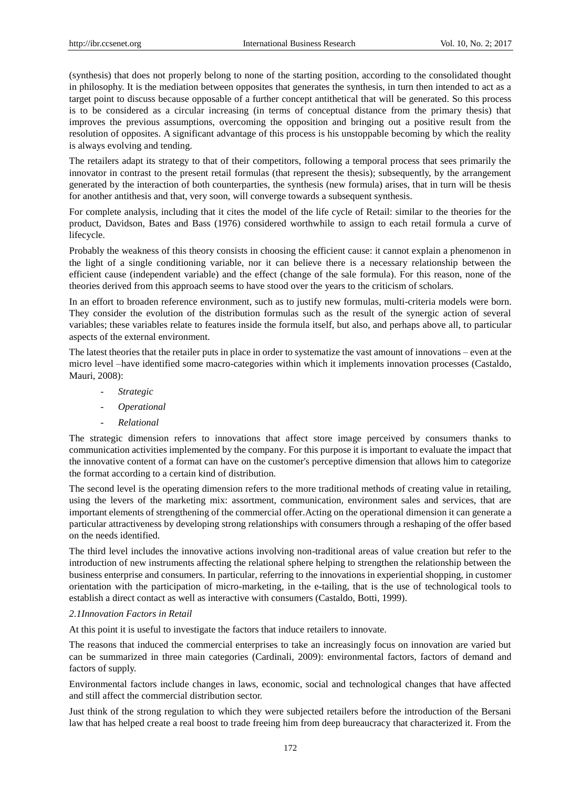(synthesis) that does not properly belong to none of the starting position, according to the consolidated thought in philosophy. It is the mediation between opposites that generates the synthesis, in turn then intended to act as a target point to discuss because opposable of a further concept antithetical that will be generated. So this process is to be considered as a circular increasing (in terms of conceptual distance from the primary thesis) that improves the previous assumptions, overcoming the opposition and bringing out a positive result from the resolution of opposites. A significant advantage of this process is his unstoppable becoming by which the reality is always evolving and tending.

The retailers adapt its strategy to that of their competitors, following a temporal process that sees primarily the innovator in contrast to the present retail formulas (that represent the thesis); subsequently, by the arrangement generated by the interaction of both counterparties, the synthesis (new formula) arises, that in turn will be thesis for another antithesis and that, very soon, will converge towards a subsequent synthesis.

For complete analysis, including that it cites the model of the life cycle of Retail: similar to the theories for the product, Davidson, Bates and Bass (1976) considered worthwhile to assign to each retail formula a curve of lifecycle.

Probably the weakness of this theory consists in choosing the efficient cause: it cannot explain a phenomenon in the light of a single conditioning variable, nor it can believe there is a necessary relationship between the efficient cause (independent variable) and the effect (change of the sale formula). For this reason, none of the theories derived from this approach seems to have stood over the years to the criticism of scholars.

In an effort to broaden reference environment, such as to justify new formulas, multi-criteria models were born. They consider the evolution of the distribution formulas such as the result of the synergic action of several variables; these variables relate to features inside the formula itself, but also, and perhaps above all, to particular aspects of the external environment.

The latest theories that the retailer puts in place in order to systematize the vast amount of innovations – even at the micro level –have identified some macro-categories within which it implements innovation processes (Castaldo, Mauri, 2008):

- *Strategic*
- *Operational*
- *Relational*

The strategic dimension refers to innovations that affect store image perceived by consumers thanks to communication activities implemented by the company. For this purpose it is important to evaluate the impact that the innovative content of a format can have on the customer's perceptive dimension that allows him to categorize the format according to a certain kind of distribution.

The second level is the operating dimension refers to the more traditional methods of creating value in retailing, using the levers of the marketing mix: assortment, communication, environment sales and services, that are important elements of strengthening of the commercial offer.Acting on the operational dimension it can generate a particular attractiveness by developing strong relationships with consumers through a reshaping of the offer based on the needs identified.

The third level includes the innovative actions involving non-traditional areas of value creation but refer to the introduction of new instruments affecting the relational sphere helping to strengthen the relationship between the business enterprise and consumers. In particular, referring to the innovations in experiential shopping, in customer orientation with the participation of micro-marketing, in the e-tailing, that is the use of technological tools to establish a direct contact as well as interactive with consumers (Castaldo, Botti, 1999).

## *2.1Innovation Factors in Retail*

At this point it is useful to investigate the factors that induce retailers to innovate.

The reasons that induced the commercial enterprises to take an increasingly focus on innovation are varied but can be summarized in three main categories (Cardinali, 2009): environmental factors, factors of demand and factors of supply.

Environmental factors include changes in laws, economic, social and technological changes that have affected and still affect the commercial distribution sector.

Just think of the strong regulation to which they were subjected retailers before the introduction of the Bersani law that has helped create a real boost to trade freeing him from deep bureaucracy that characterized it. From the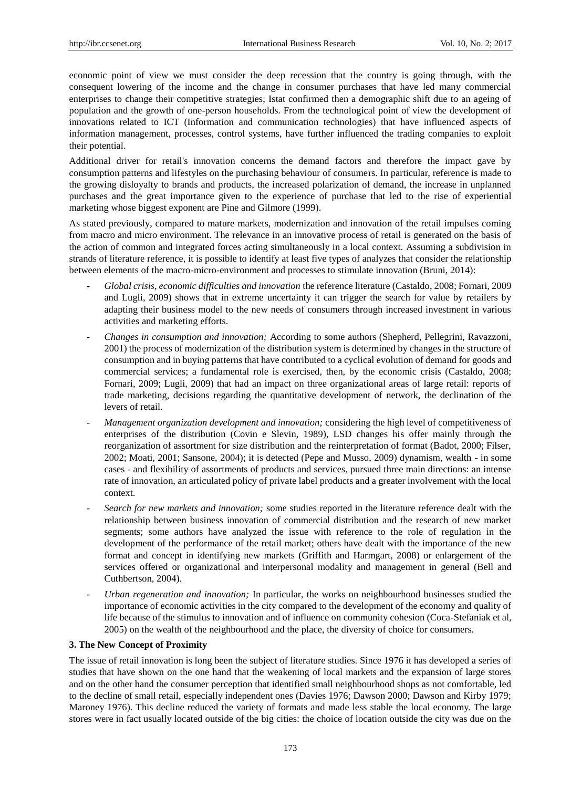economic point of view we must consider the deep recession that the country is going through, with the consequent lowering of the income and the change in consumer purchases that have led many commercial enterprises to change their competitive strategies; Istat confirmed then a demographic shift due to an ageing of population and the growth of one-person households. From the technological point of view the development of innovations related to ICT (Information and communication technologies) that have influenced aspects of information management, processes, control systems, have further influenced the trading companies to exploit their potential.

Additional driver for retail's innovation concerns the demand factors and therefore the impact gave by consumption patterns and lifestyles on the purchasing behaviour of consumers. In particular, reference is made to the growing disloyalty to brands and products, the increased polarization of demand, the increase in unplanned purchases and the great importance given to the experience of purchase that led to the rise of experiential marketing whose biggest exponent are Pine and Gilmore (1999).

As stated previously, compared to mature markets, modernization and innovation of the retail impulses coming from macro and micro environment. The relevance in an innovative process of retail is generated on the basis of the action of common and integrated forces acting simultaneously in a local context. Assuming a subdivision in strands of literature reference, it is possible to identify at least five types of analyzes that consider the relationship between elements of the macro-micro-environment and processes to stimulate innovation (Bruni, 2014):

- *Global crisis, economic difficulties and innovation* the reference literature (Castaldo, 2008; Fornari, 2009 and Lugli, 2009) shows that in extreme uncertainty it can trigger the search for value by retailers by adapting their business model to the new needs of consumers through increased investment in various activities and marketing efforts.
- *Changes in consumption and innovation;* According to some authors (Shepherd, Pellegrini, Ravazzoni, 2001) the process of modernization of the distribution system is determined by changes in the structure of consumption and in buying patterns that have contributed to a cyclical evolution of demand for goods and commercial services; a fundamental role is exercised, then, by the economic crisis (Castaldo, 2008; Fornari, 2009; Lugli, 2009) that had an impact on three organizational areas of large retail: reports of trade marketing, decisions regarding the quantitative development of network, the declination of the levers of retail.
- *Management organization development and innovation;* considering the high level of competitiveness of enterprises of the distribution (Covin e Slevin, 1989), LSD changes his offer mainly through the reorganization of assortment for size distribution and the reinterpretation of format (Badot, 2000; Filser, 2002; Moati, 2001; Sansone, 2004); it is detected (Pepe and Musso, 2009) dynamism, wealth - in some cases - and flexibility of assortments of products and services, pursued three main directions: an intense rate of innovation, an articulated policy of private label products and a greater involvement with the local context.
- *Search for new markets and innovation;* some studies reported in the literature reference dealt with the relationship between business innovation of commercial distribution and the research of new market segments; some authors have analyzed the issue with reference to the role of regulation in the development of the performance of the retail market; others have dealt with the importance of the new format and concept in identifying new markets (Griffith and Harmgart, 2008) or enlargement of the services offered or organizational and interpersonal modality and management in general (Bell and Cuthbertson, 2004).
- *Urban regeneration and innovation;* In particular, the works on neighbourhood businesses studied the importance of economic activities in the city compared to the development of the economy and quality of life because of the stimulus to innovation and of influence on community cohesion (Coca-Stefaniak et al, 2005) on the wealth of the neighbourhood and the place, the diversity of choice for consumers.

## **3. The New Concept of Proximity**

The issue of retail innovation is long been the subject of literature studies. Since 1976 it has developed a series of studies that have shown on the one hand that the weakening of local markets and the expansion of large stores and on the other hand the consumer perception that identified small neighbourhood shops as not comfortable, led to the decline of small retail, especially independent ones (Davies 1976; Dawson 2000; Dawson and Kirby 1979; Maroney 1976). This decline reduced the variety of formats and made less stable the local economy. The large stores were in fact usually located outside of the big cities: the choice of location outside the city was due on the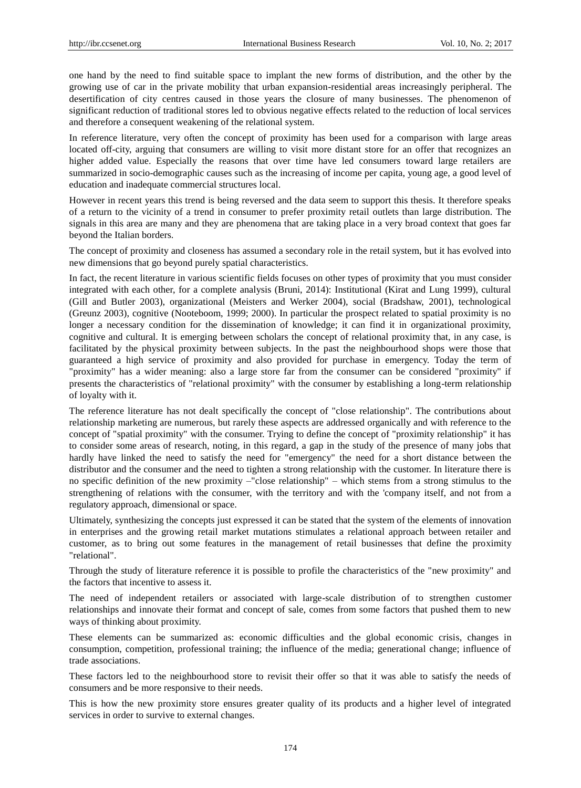one hand by the need to find suitable space to implant the new forms of distribution, and the other by the growing use of car in the private mobility that urban expansion-residential areas increasingly peripheral. The desertification of city centres caused in those years the closure of many businesses. The phenomenon of significant reduction of traditional stores led to obvious negative effects related to the reduction of local services and therefore a consequent weakening of the relational system.

In reference literature, very often the concept of proximity has been used for a comparison with large areas located off-city, arguing that consumers are willing to visit more distant store for an offer that recognizes an higher added value. Especially the reasons that over time have led consumers toward large retailers are summarized in socio-demographic causes such as the increasing of income per capita, young age, a good level of education and inadequate commercial structures local.

However in recent years this trend is being reversed and the data seem to support this thesis. It therefore speaks of a return to the vicinity of a trend in consumer to prefer proximity retail outlets than large distribution. The signals in this area are many and they are phenomena that are taking place in a very broad context that goes far beyond the Italian borders.

The concept of proximity and closeness has assumed a secondary role in the retail system, but it has evolved into new dimensions that go beyond purely spatial characteristics.

In fact, the recent literature in various scientific fields focuses on other types of proximity that you must consider integrated with each other, for a complete analysis (Bruni, 2014): Institutional (Kirat and Lung 1999), cultural (Gill and Butler 2003), organizational (Meisters and Werker 2004), social (Bradshaw, 2001), technological (Greunz 2003), cognitive (Nooteboom, 1999; 2000). In particular the prospect related to spatial proximity is no longer a necessary condition for the dissemination of knowledge; it can find it in organizational proximity, cognitive and cultural. It is emerging between scholars the concept of relational proximity that, in any case, is facilitated by the physical proximity between subjects. In the past the neighbourhood shops were those that guaranteed a high service of proximity and also provided for purchase in emergency. Today the term of "proximity" has a wider meaning: also a large store far from the consumer can be considered "proximity" if presents the characteristics of "relational proximity" with the consumer by establishing a long-term relationship of loyalty with it.

The reference literature has not dealt specifically the concept of "close relationship". The contributions about relationship marketing are numerous, but rarely these aspects are addressed organically and with reference to the concept of "spatial proximity" with the consumer. Trying to define the concept of "proximity relationship" it has to consider some areas of research, noting, in this regard, a gap in the study of the presence of many jobs that hardly have linked the need to satisfy the need for "emergency" the need for a short distance between the distributor and the consumer and the need to tighten a strong relationship with the customer. In literature there is no specific definition of the new proximity –"close relationship" – which stems from a strong stimulus to the strengthening of relations with the consumer, with the territory and with the 'company itself, and not from a regulatory approach, dimensional or space.

Ultimately, synthesizing the concepts just expressed it can be stated that the system of the elements of innovation in enterprises and the growing retail market mutations stimulates a relational approach between retailer and customer, as to bring out some features in the management of retail businesses that define the proximity "relational".

Through the study of literature reference it is possible to profile the characteristics of the "new proximity" and the factors that incentive to assess it.

The need of independent retailers or associated with large-scale distribution of to strengthen customer relationships and innovate their format and concept of sale, comes from some factors that pushed them to new ways of thinking about proximity.

These elements can be summarized as: economic difficulties and the global economic crisis, changes in consumption, competition, professional training; the influence of the media; generational change; influence of trade associations.

These factors led to the neighbourhood store to revisit their offer so that it was able to satisfy the needs of consumers and be more responsive to their needs.

This is how the new proximity store ensures greater quality of its products and a higher level of integrated services in order to survive to external changes.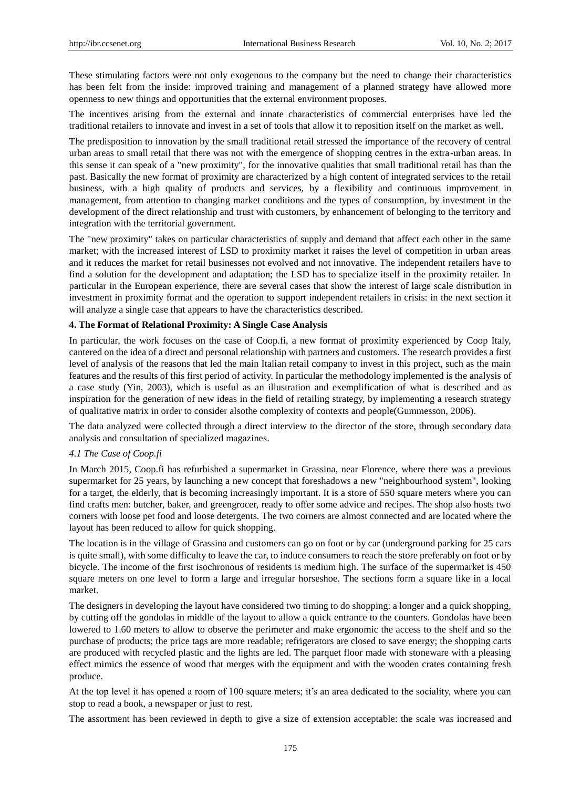These stimulating factors were not only exogenous to the company but the need to change their characteristics has been felt from the inside: improved training and management of a planned strategy have allowed more openness to new things and opportunities that the external environment proposes.

The incentives arising from the external and innate characteristics of commercial enterprises have led the traditional retailers to innovate and invest in a set of tools that allow it to reposition itself on the market as well.

The predisposition to innovation by the small traditional retail stressed the importance of the recovery of central urban areas to small retail that there was not with the emergence of shopping centres in the extra-urban areas. In this sense it can speak of a "new proximity", for the innovative qualities that small traditional retail has than the past. Basically the new format of proximity are characterized by a high content of integrated services to the retail business, with a high quality of products and services, by a flexibility and continuous improvement in management, from attention to changing market conditions and the types of consumption, by investment in the development of the direct relationship and trust with customers, by enhancement of belonging to the territory and integration with the territorial government.

The "new proximity" takes on particular characteristics of supply and demand that affect each other in the same market; with the increased interest of LSD to proximity market it raises the level of competition in urban areas and it reduces the market for retail businesses not evolved and not innovative. The independent retailers have to find a solution for the development and adaptation; the LSD has to specialize itself in the proximity retailer. In particular in the European experience, there are several cases that show the interest of large scale distribution in investment in proximity format and the operation to support independent retailers in crisis: in the next section it will analyze a single case that appears to have the characteristics described.

#### **4. The Format of Relational Proximity: A Single Case Analysis**

In particular, the work focuses on the case of Coop.fi, a new format of proximity experienced by Coop Italy, cantered on the idea of a direct and personal relationship with partners and customers. The research provides a first level of analysis of the reasons that led the main Italian retail company to invest in this project, such as the main features and the results of this first period of activity. In particular the methodology implemented is the analysis of a case study (Yin, 2003), which is useful as an illustration and exemplification of what is described and as inspiration for the generation of new ideas in the field of retailing strategy, by implementing a research strategy of qualitative matrix in order to consider alsothe complexity of contexts and people(Gummesson, 2006)*.*

The data analyzed were collected through a direct interview to the director of the store, through secondary data analysis and consultation of specialized magazines.

#### *4.1 The Case of Coop.fi*

In March 2015, Coop.fi has refurbished a supermarket in Grassina, near Florence, where there was a previous supermarket for 25 years, by launching a new concept that foreshadows a new "neighbourhood system", looking for a target, the elderly, that is becoming increasingly important. It is a store of 550 square meters where you can find crafts men: butcher, baker, and greengrocer, ready to offer some advice and recipes. The shop also hosts two corners with loose pet food and loose detergents. The two corners are almost connected and are located where the layout has been reduced to allow for quick shopping.

The location is in the village of Grassina and customers can go on foot or by car (underground parking for 25 cars is quite small), with some difficulty to leave the car, to induce consumers to reach the store preferably on foot or by bicycle. The income of the first isochronous of residents is medium high. The surface of the supermarket is 450 square meters on one level to form a large and irregular horseshoe. The sections form a square like in a local market.

The designers in developing the layout have considered two timing to do shopping: a longer and a quick shopping, by cutting off the gondolas in middle of the layout to allow a quick entrance to the counters. Gondolas have been lowered to 1.60 meters to allow to observe the perimeter and make ergonomic the access to the shelf and so the purchase of products; the price tags are more readable; refrigerators are closed to save energy; the shopping carts are produced with recycled plastic and the lights are led. The parquet floor made with stoneware with a pleasing effect mimics the essence of wood that merges with the equipment and with the wooden crates containing fresh produce.

At the top level it has opened a room of 100 square meters; it's an area dedicated to the sociality, where you can stop to read a book, a newspaper or just to rest.

The assortment has been reviewed in depth to give a size of extension acceptable: the scale was increased and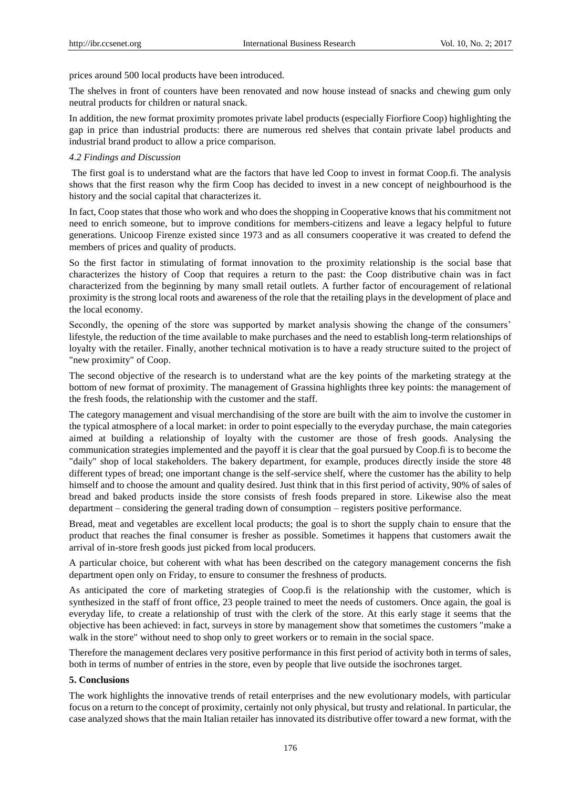prices around 500 local products have been introduced.

The shelves in front of counters have been renovated and now house instead of snacks and chewing gum only neutral products for children or natural snack.

In addition, the new format proximity promotes private label products (especially Fiorfiore Coop) highlighting the gap in price than industrial products: there are numerous red shelves that contain private label products and industrial brand product to allow a price comparison.

# *4.2 Findings and Discussion*

The first goal is to understand what are the factors that have led Coop to invest in format Coop.fi. The analysis shows that the first reason why the firm Coop has decided to invest in a new concept of neighbourhood is the history and the social capital that characterizes it.

In fact, Coop states that those who work and who does the shopping in Cooperative knows that his commitment not need to enrich someone, but to improve conditions for members-citizens and leave a legacy helpful to future generations. Unicoop Firenze existed since 1973 and as all consumers cooperative it was created to defend the members of prices and quality of products.

So the first factor in stimulating of format innovation to the proximity relationship is the social base that characterizes the history of Coop that requires a return to the past: the Coop distributive chain was in fact characterized from the beginning by many small retail outlets. A further factor of encouragement of relational proximity is the strong local roots and awareness of the role that the retailing plays in the development of place and the local economy.

Secondly, the opening of the store was supported by market analysis showing the change of the consumers' lifestyle, the reduction of the time available to make purchases and the need to establish long-term relationships of loyalty with the retailer. Finally, another technical motivation is to have a ready structure suited to the project of "new proximity" of Coop.

The second objective of the research is to understand what are the key points of the marketing strategy at the bottom of new format of proximity. The management of Grassina highlights three key points: the management of the fresh foods, the relationship with the customer and the staff.

The category management and visual merchandising of the store are built with the aim to involve the customer in the typical atmosphere of a local market: in order to point especially to the everyday purchase, the main categories aimed at building a relationship of loyalty with the customer are those of fresh goods. Analysing the communication strategies implemented and the payoff it is clear that the goal pursued by Coop.fi is to become the "daily" shop of local stakeholders. The bakery department, for example, produces directly inside the store 48 different types of bread; one important change is the self-service shelf, where the customer has the ability to help himself and to choose the amount and quality desired. Just think that in this first period of activity, 90% of sales of bread and baked products inside the store consists of fresh foods prepared in store. Likewise also the meat department – considering the general trading down of consumption – registers positive performance.

Bread, meat and vegetables are excellent local products; the goal is to short the supply chain to ensure that the product that reaches the final consumer is fresher as possible. Sometimes it happens that customers await the arrival of in-store fresh goods just picked from local producers.

A particular choice, but coherent with what has been described on the category management concerns the fish department open only on Friday, to ensure to consumer the freshness of products.

As anticipated the core of marketing strategies of Coop.fi is the relationship with the customer, which is synthesized in the staff of front office, 23 people trained to meet the needs of customers. Once again, the goal is everyday life, to create a relationship of trust with the clerk of the store. At this early stage it seems that the objective has been achieved: in fact, surveys in store by management show that sometimes the customers "make a walk in the store" without need to shop only to greet workers or to remain in the social space.

Therefore the management declares very positive performance in this first period of activity both in terms of sales, both in terms of number of entries in the store, even by people that live outside the isochrones target.

## **5. Conclusions**

The work highlights the innovative trends of retail enterprises and the new evolutionary models, with particular focus on a return to the concept of proximity, certainly not only physical, but trusty and relational. In particular, the case analyzed shows that the main Italian retailer has innovated its distributive offer toward a new format, with the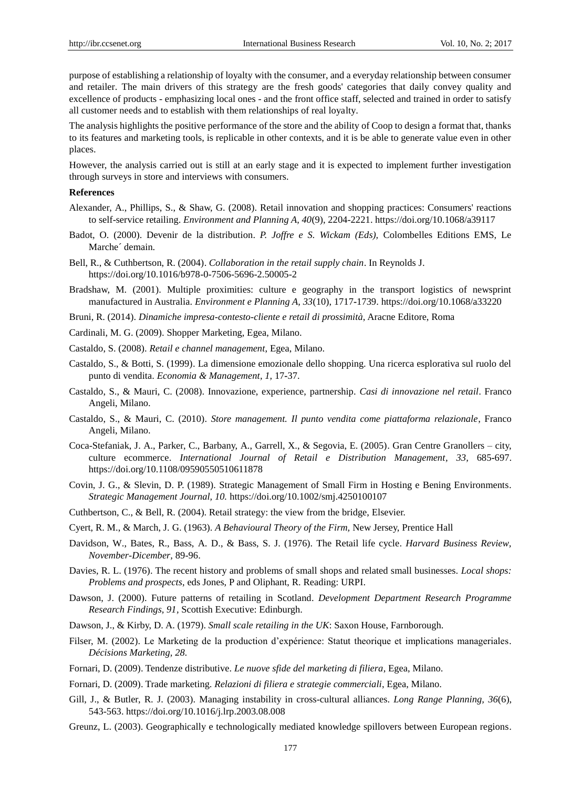purpose of establishing a relationship of loyalty with the consumer, and a everyday relationship between consumer and retailer. The main drivers of this strategy are the fresh goods' categories that daily convey quality and excellence of products - emphasizing local ones - and the front office staff, selected and trained in order to satisfy all customer needs and to establish with them relationships of real loyalty.

The analysis highlights the positive performance of the store and the ability of Coop to design a format that, thanks to its features and marketing tools, is replicable in other contexts, and it is be able to generate value even in other places.

However, the analysis carried out is still at an early stage and it is expected to implement further investigation through surveys in store and interviews with consumers.

## **References**

- Alexander, A., Phillips, S., & Shaw, G. (2008). Retail innovation and shopping practices: Consumers' reactions to self-service retailing. *Environment and Planning A, 40*(9), 2204-2221. https://doi.org/10.1068/a39117
- Badot, O. (2000). Devenir de la distribution. *P. Joffre e S. Wickam (Eds),* Colombelles Editions EMS, Le Marche´ demain.
- Bell, R., & Cuthbertson, R. (2004). *Collaboration in the retail supply chain*. In Reynolds J. https://doi.org/10.1016/b978-0-7506-5696-2.50005-2
- Bradshaw, M. (2001). Multiple proximities: culture e geography in the transport logistics of newsprint manufactured in Australia. *Environment e Planning A, 33*(10), 1717**-**1739. https://doi.org/10.1068/a33220
- Bruni, R. (2014). *Dinamiche impresa-contesto-cliente e retail di prossimità*, Aracne Editore, Roma
- Cardinali, M. G. (2009). Shopper Marketing, Egea, Milano.
- Castaldo, S. (2008). *Retail e channel management*, Egea, Milano.
- Castaldo, S., & Botti, S. (1999). La dimensione emozionale dello shopping. Una ricerca esplorativa sul ruolo del punto di vendita. *Economia & Management, 1,* 17**-**37.
- Castaldo, S., & Mauri, C. (2008). Innovazione, experience, partnership. *Casi di innovazione nel retail*. Franco Angeli, Milano.
- Castaldo, S., & Mauri, C. (2010). *Store management. Il punto vendita come piattaforma relazionale*, Franco Angeli, Milano.
- Coca-Stefaniak, J. A., Parker, C., Barbany, A., Garrell, X., & Segovia, E. (2005). Gran Centre Granollers city, culture ecommerce. *International Journal of Retail e Distribution Management, 33,* 685**-**697. https://doi.org/10.1108/09590550510611878
- Covin, J. G., & Slevin, D. P. (1989). Strategic Management of Small Firm in Hosting e Bening Environments. *Strategic Management Journal, 10.* https://doi.org/10.1002/smj.4250100107
- Cuthbertson, C., & Bell, R. (2004). Retail strategy: the view from the bridge, Elsevier.
- Cyert, R. M., & March, J. G. (1963). *A Behavioural Theory of the Firm,* New Jersey, Prentice Hall
- Davidson, W., Bates, R., Bass, A. D., & Bass, S. J. (1976). The Retail life cycle. *Harvard Business Review, November-Dicember,* 89-96.
- Davies, R. L. (1976). The recent history and problems of small shops and related small businesses. *Local shops: Problems and prospects*, eds Jones, P and Oliphant, R. Reading: URPI.
- Dawson, J. (2000). Future patterns of retailing in Scotland. *Development Department Research Programme Research Findings, 91,* Scottish Executive: Edinburgh.
- Dawson, J., & Kirby, D. A. (1979). *Small scale retailing in the UK*: Saxon House, Farnborough.
- Filser, M. (2002). Le Marketing de la production d'expérience: Statut theorique et implications manageriales. *Décisions Marketing, 28.*
- Fornari, D. (2009). Tendenze distributive. *Le nuove sfide del marketing di filiera*, Egea, Milano.
- Fornari, D. (2009). Trade marketing. *Relazioni di filiera e strategie commerciali*, Egea, Milano.
- Gill, J., & Butler, R. J. (2003). Managing instability in cross-cultural alliances. *Long Range Planning, 36*(6), 543-563. https://doi.org/10.1016/j.lrp.2003.08.008
- Greunz, L. (2003). Geographically e technologically mediated knowledge spillovers between European regions.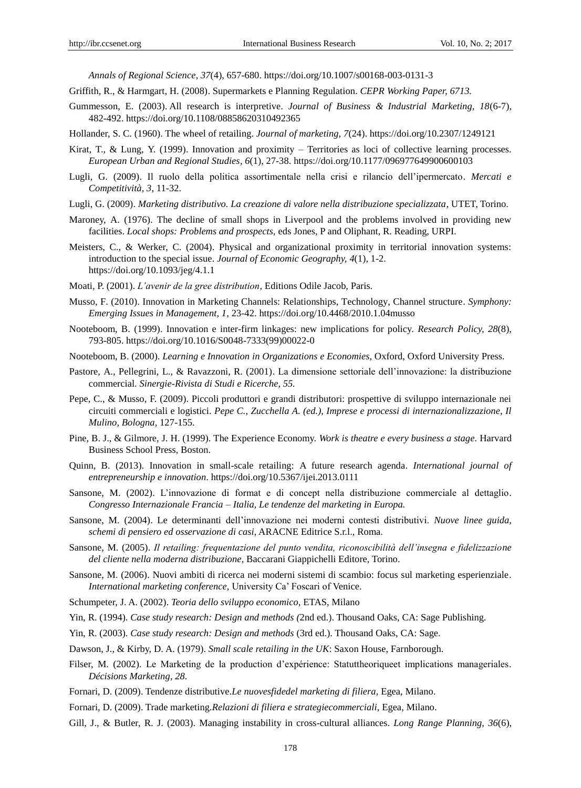*Annals of Regional Science, 37*(4), 657-680. https://doi.org/10.1007/s00168-003-0131-3

- Griffith, R., & Harmgart, H. (2008). Supermarkets e Planning Regulation. *CEPR Working Paper, 6713.*
- Gummesson, E. (2003). All research is interpretive. *Journal of Business & Industrial Marketing, 18*(6-7), 482-492. https://doi.org/10.1108/08858620310492365

Hollander, S. C. (1960). The wheel of retailing. *Journal of marketing, 7*(24). https://doi.org/10.2307/1249121

- Kirat, T., & Lung, Y. (1999). Innovation and proximity Territories as loci of collective learning processes. *European Urban and Regional Studies, 6*(1), 27-38. https://doi.org/10.1177/096977649900600103
- Lugli, G. (2009). Il ruolo della politica assortimentale nella crisi e rilancio dell'ipermercato. *Mercati e Competitività, 3,* 11-32.
- Lugli, G. (2009). *Marketing distributivo. La creazione di valore nella distribuzione specializzata*, UTET, Torino.
- Maroney, A. (1976). The decline of small shops in Liverpool and the problems involved in providing new facilities. *Local shops: Problems and prospects,* eds Jones, P and Oliphant, R. Reading, URPI.
- Meisters, C., & Werker, C. (2004). Physical and organizational proximity in territorial innovation systems: introduction to the special issue. *Journal of Economic Geography, 4*(1), 1-2. https://doi.org/10.1093/jeg/4.1.1
- Moati, P. (2001). *L'avenir de la gree distribution*, Editions Odile Jacob, Paris.
- Musso, F. (2010). Innovation in Marketing Channels: Relationships, Technology, Channel structure. *Symphony: Emerging Issues in Management, 1,* 23-42. https://doi.org/10.4468/2010.1.04musso
- Nooteboom, B. (1999). Innovation e inter-firm linkages: new implications for policy. *Research Policy, 28*(8), 793-805. https://doi.org/10.1016/S0048-7333(99)00022-0
- Nooteboom, B. (2000). *Learning e Innovation in Organizations e Economies*, Oxford, Oxford University Press.
- Pastore, A., Pellegrini, L., & Ravazzoni, R. (2001). La dimensione settoriale dell'innovazione: la distribuzione commercial. *Sinergie-Rivista di Studi e Ricerche, 55.*
- Pepe, C., & Musso, F. (2009). Piccoli produttori e grandi distributori: prospettive di sviluppo internazionale nei circuiti commerciali e logistici. *Pepe C., Zucchella A. (ed.), Imprese e processi di internazionalizzazione, Il Mulino, Bologna,* 127-155.
- Pine, B. J., & Gilmore, J. H. (1999). The Experience Economy. *Work is theatre e every business a stage.* Harvard Business School Press, Boston.
- Quinn, B. (2013). Innovation in small-scale retailing: A future research agenda. *International journal of entrepreneurship e innovation*. https://doi.org/10.5367/ijei.2013.0111
- Sansone, M. (2002). L'innovazione di format e di concept nella distribuzione commerciale al dettaglio. *Congresso Internazionale Francia – Italia, Le tendenze del marketing in Europa.*
- Sansone, M. (2004). Le determinanti dell'innovazione nei moderni contesti distributivi. *Nuove linee guida, schemi di pensiero ed osservazione di casi*, ARACNE Editrice S.r.l., Roma.
- Sansone, M. (2005). *Il retailing: frequentazione del punto vendita, riconoscibilità dell'insegna e fidelizzazione del cliente nella moderna distribuzione*, Baccarani Giappichelli Editore, Torino.
- Sansone, M. (2006). Nuovi ambiti di ricerca nei moderni sistemi di scambio: focus sul marketing esperienziale. *International marketing conference,* University Ca' Foscari of Venice.
- Schumpeter, J. A. (2002). *Teoria dello sviluppo economico,* ETAS, Milano
- Yin, R. (1994). *Case study research: Design and methods (*2nd ed.). Thousand Oaks, CA: Sage Publishing.
- Yin, R. (2003). *Case study research: Design and methods* (3rd ed.). Thousand Oaks, CA: Sage.
- Dawson, J., & Kirby, D. A. (1979). *Small scale retailing in the UK*: Saxon House, Farnborough.
- Filser, M. (2002). Le Marketing de la production d'expérience: Statuttheoriqueet implications manageriales. *Décisions Marketing, 28.*
- Fornari, D. (2009). Tendenze distributive.*Le nuovesfidedel marketing di filiera*, Egea, Milano.
- Fornari, D. (2009). Trade marketing.*Relazioni di filiera e strategiecommerciali*, Egea, Milano.
- Gill, J., & Butler, R. J. (2003). Managing instability in cross-cultural alliances. *Long Range Planning, 36*(6),